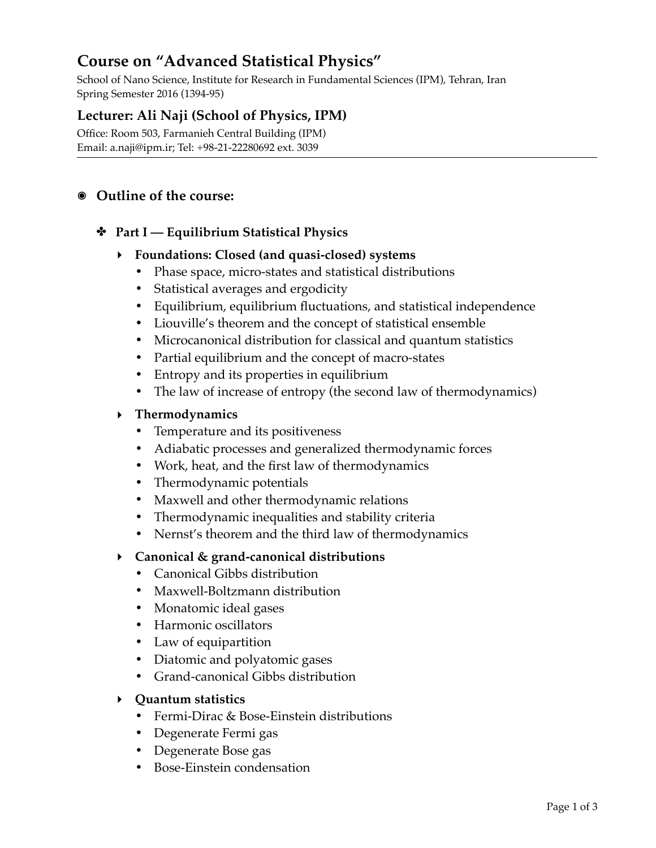# **Course on "Advanced Statistical Physics"**

School of Nano Science, Institute for Research in Fundamental Sciences (IPM), Tehran, Iran Spring Semester 2016 (1394-95)

# **Lecturer: Ali Naji (School of Physics, IPM)**

Office: Room 503, Farmanieh Central Building (IPM) Email: [a.naji@ipm.ir;](mailto:a.naji@ipm.ir) Tel: +98-21-22280692 ext. 3039

## **๏ Outline of the course:**

## ✤ **Part I — Equilibrium Statistical Physics**

## **‣ Foundations: Closed (and quasi-closed) systems**

- **•** Phase space, micro-states and statistical distributions
- **•** Statistical averages and ergodicity
- **•** Equilibrium, equilibrium fluctuations, and statistical independence
- **•** Liouville's theorem and the concept of statistical ensemble
- **•** Microcanonical distribution for classical and quantum statistics
- **•** Partial equilibrium and the concept of macro-states
- **•** Entropy and its properties in equilibrium
- The law of increase of entropy (the second law of thermodynamics)

## **‣ Thermodynamics**

- **•** Temperature and its positiveness
- **•** Adiabatic processes and generalized thermodynamic forces
- **•** Work, heat, and the first law of thermodynamics
- **•** Thermodynamic potentials
- **•** Maxwell and other thermodynamic relations
- **•** Thermodynamic inequalities and stability criteria
- **•** Nernst's theorem and the third law of thermodynamics

## **‣ Canonical & grand-canonical distributions**

- **•** Canonical Gibbs distribution
- **•** Maxwell-Boltzmann distribution
- **•** Monatomic ideal gases
- **•** Harmonic oscillators
- **•** Law of equipartition
- **•** Diatomic and polyatomic gases
- **•** Grand-canonical Gibbs distribution

## **‣ Quantum statistics**

- **•** Fermi-Dirac & Bose-Einstein distributions
- **•** Degenerate Fermi gas
- **•** Degenerate Bose gas
- **•** Bose-Einstein condensation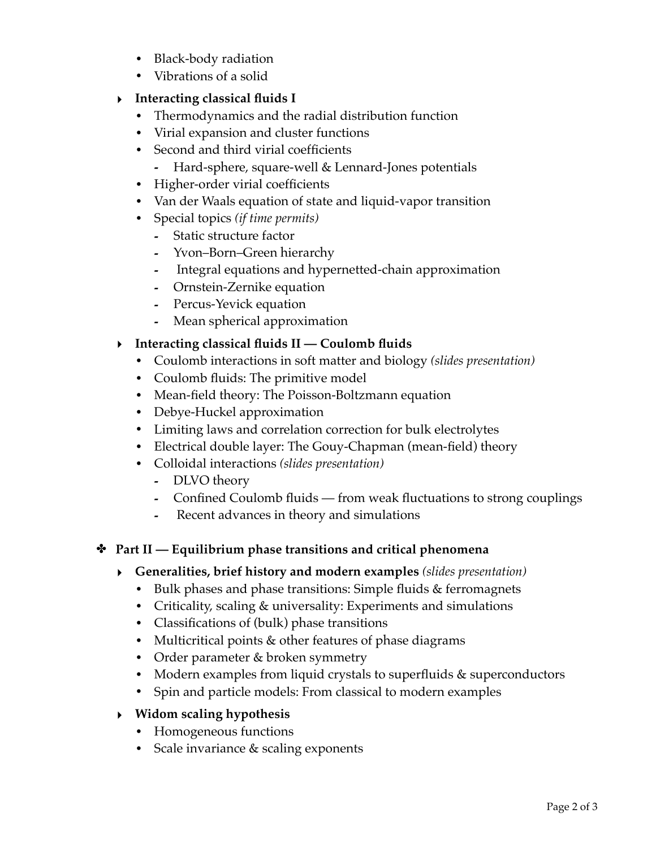- **•** Black-body radiation
- **•** Vibrations of a solid

## **‣ Interacting classical fluids I**

- **•** Thermodynamics and the radial distribution function
- **•** Virial expansion and cluster functions
- **•** Second and third virial coefficients
	- **-** Hard-sphere, square-well & Lennard-Jones potentials
- **•** Higher-order virial coefficients
- **•** Van der Waals equation of state and liquid-vapor transition
- **•** Special topics *(if time permits)*
	- **-** Static structure factor
	- **-** Yvon–Born–Green hierarchy
	- **-** Integral equations and hypernetted-chain approximation
	- **-** Ornstein-Zernike equation
	- **-** Percus-Yevick equation
	- **-** Mean spherical approximation
- **‣ Interacting classical fluids II Coulomb fluids**
	- **•** Coulomb interactions in soft matter and biology *(slides presentation)*
	- **•** Coulomb fluids: The primitive model
	- **•** Mean-field theory: The Poisson-Boltzmann equation
	- **•** Debye-Huckel approximation
	- **•** Limiting laws and correlation correction for bulk electrolytes
	- **•** Electrical double layer: The Gouy-Chapman (mean-field) theory
	- **•** Colloidal interactions *(slides presentation)*
		- **-** DLVO theory
		- **-** Confined Coulomb fluids from weak fluctuations to strong couplings
		- **-** Recent advances in theory and simulations

## ✤ **Part II — Equilibrium phase transitions and critical phenomena**

- **‣ Generalities, brief history and modern examples** *(slides presentation)*
	- **•** Bulk phases and phase transitions: Simple fluids & ferromagnets
	- **•** Criticality, scaling & universality: Experiments and simulations
	- **•** Classifications of (bulk) phase transitions
	- **•** Multicritical points & other features of phase diagrams
	- **•** Order parameter & broken symmetry
	- **•** Modern examples from liquid crystals to superfluids & superconductors
	- **•** Spin and particle models: From classical to modern examples
- **‣ Widom scaling hypothesis**
	- **•** Homogeneous functions
	- **•** Scale invariance & scaling exponents